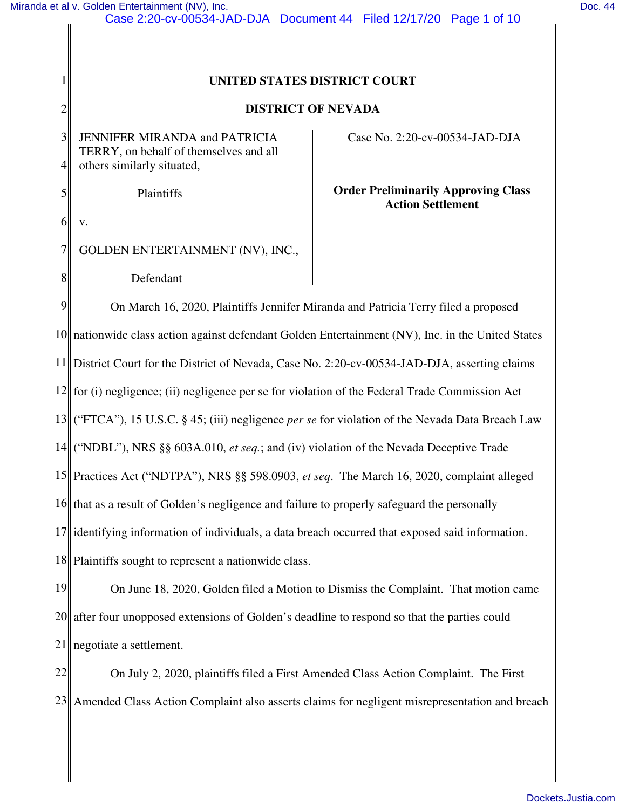## **UNITED STATES DISTRICT COURT**

## **DISTRICT OF NEVADA**

3 4 JENNIFER MIRANDA and PATRICIA TERRY, on behalf of themselves and all others similarly situated,

Plaintiffs

Case No. 2:20-cv-00534-JAD-DJA

## **Order Preliminarily Approving Class Action Settlement**

6 v.

1

2

5

8

7 GOLDEN ENTERTAINMENT (NV), INC.,

Defendant

9 10 nationwide class action against defendant Golden Entertainment (NV), Inc. in the United States 11 12 for (i) negligence; (ii) negligence per se for violation of the Federal Trade Commission Act 13 14 ("NDBL"), NRS §§ 603A.010, *et seq.*; and (iv) violation of the Nevada Deceptive Trade 15 Practices Act ("NDTPA"), NRS §§ 598.0903, *et seq*. The March 16, 2020, complaint alleged 16 that as a result of Golden's negligence and failure to properly safeguard the personally 17 identifying information of individuals, a data breach occurred that exposed said information. 18|| Plaintiffs sought to represent a nationwide class. On March 16, 2020, Plaintiffs Jennifer Miranda and Patricia Terry filed a proposed District Court for the District of Nevada, Case No. 2:20-cv-00534-JAD-DJA, asserting claims ("FTCA"), 15 U.S.C. § 45; (iii) negligence *per se* for violation of the Nevada Data Breach Law

19 20 21 On June 18, 2020, Golden filed a Motion to Dismiss the Complaint. That motion came after four unopposed extensions of Golden's deadline to respond so that the parties could negotiate a settlement.

22 23 Amended Class Action Complaint also asserts claims for negligent misrepresentation and breach On July 2, 2020, plaintiffs filed a First Amended Class Action Complaint. The First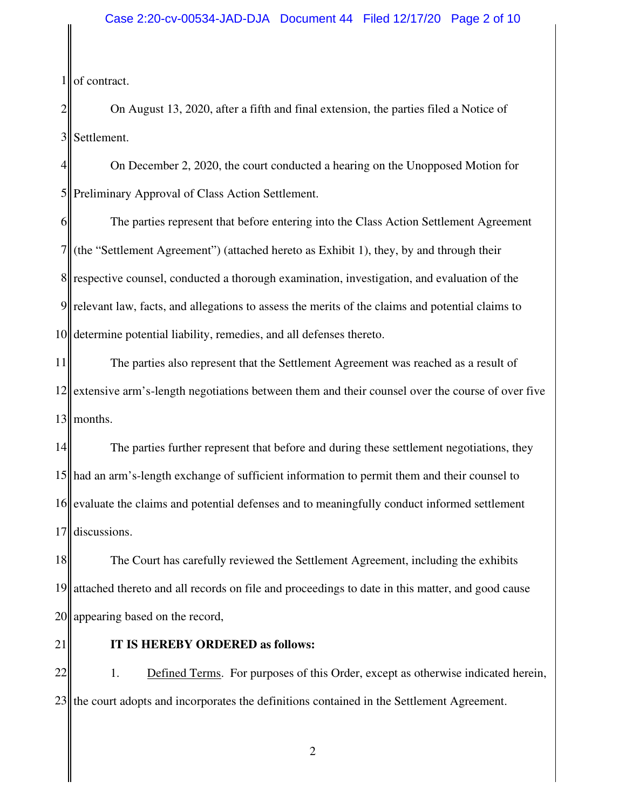1 of contract.

2 3 On August 13, 2020, after a fifth and final extension, the parties filed a Notice of Settlement.

4 5 On December 2, 2020, the court conducted a hearing on the Unopposed Motion for Preliminary Approval of Class Action Settlement.

6 7 8 respective counsel, conducted a thorough examination, investigation, and evaluation of the 9 10 The parties represent that before entering into the Class Action Settlement Agreement (the "Settlement Agreement") (attached hereto as Exhibit 1), they, by and through their relevant law, facts, and allegations to assess the merits of the claims and potential claims to determine potential liability, remedies, and all defenses thereto.

11 12 extensive arm's-length negotiations between them and their counsel over the course of over five  $13$  months. The parties also represent that the Settlement Agreement was reached as a result of

14 15 had an arm's-length exchange of sufficient information to permit them and their counsel to 16 evaluate the claims and potential defenses and to meaningfully conduct informed settlement 17 The parties further represent that before and during these settlement negotiations, they discussions.

18 19 20 The Court has carefully reviewed the Settlement Agreement, including the exhibits attached thereto and all records on file and proceedings to date in this matter, and good cause appearing based on the record,

21

# **IT IS HEREBY ORDERED as follows:**

22  $23$ 1. Defined Terms. For purposes of this Order, except as otherwise indicated herein, the court adopts and incorporates the definitions contained in the Settlement Agreement.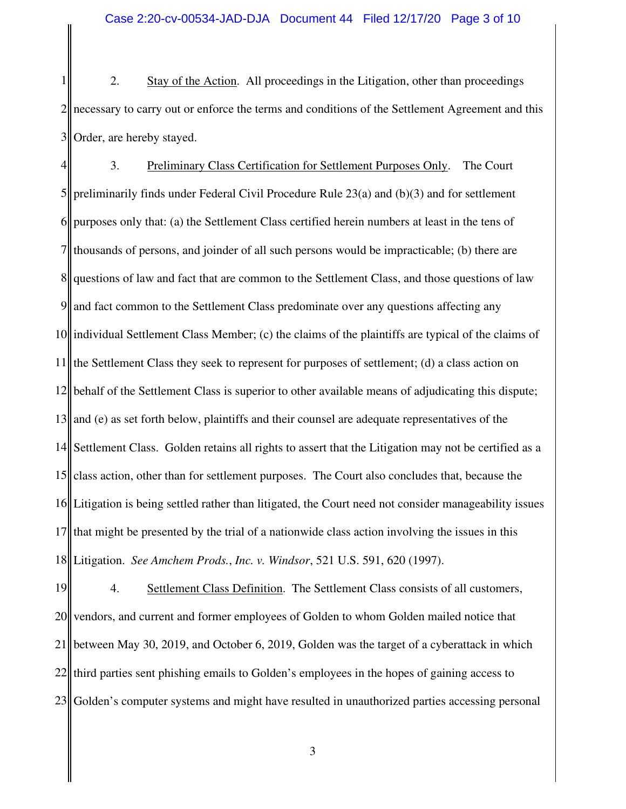1 2 3 2. Stay of the Action. All proceedings in the Litigation, other than proceedings necessary to carry out or enforce the terms and conditions of the Settlement Agreement and this Order, are hereby stayed.

4 5 6 7 8 9 10 11 12 13 14 15 16 17 18 3. Preliminary Class Certification for Settlement Purposes Only. The Court preliminarily finds under Federal Civil Procedure Rule 23(a) and (b)(3) and for settlement purposes only that: (a) the Settlement Class certified herein numbers at least in the tens of thousands of persons, and joinder of all such persons would be impracticable; (b) there are questions of law and fact that are common to the Settlement Class, and those questions of law and fact common to the Settlement Class predominate over any questions affecting any individual Settlement Class Member; (c) the claims of the plaintiffs are typical of the claims of the Settlement Class they seek to represent for purposes of settlement; (d) a class action on behalf of the Settlement Class is superior to other available means of adjudicating this dispute; and (e) as set forth below, plaintiffs and their counsel are adequate representatives of the Settlement Class. Golden retains all rights to assert that the Litigation may not be certified as a class action, other than for settlement purposes. The Court also concludes that, because the Litigation is being settled rather than litigated, the Court need not consider manageability issues that might be presented by the trial of a nationwide class action involving the issues in this Litigation. *See Amchem Prods.*, *Inc. v. Windsor*, 521 U.S. 591, 620 (1997).

19 20 21 22 23 4. Settlement Class Definition. The Settlement Class consists of all customers, vendors, and current and former employees of Golden to whom Golden mailed notice that between May 30, 2019, and October 6, 2019, Golden was the target of a cyberattack in which third parties sent phishing emails to Golden's employees in the hopes of gaining access to Golden's computer systems and might have resulted in unauthorized parties accessing personal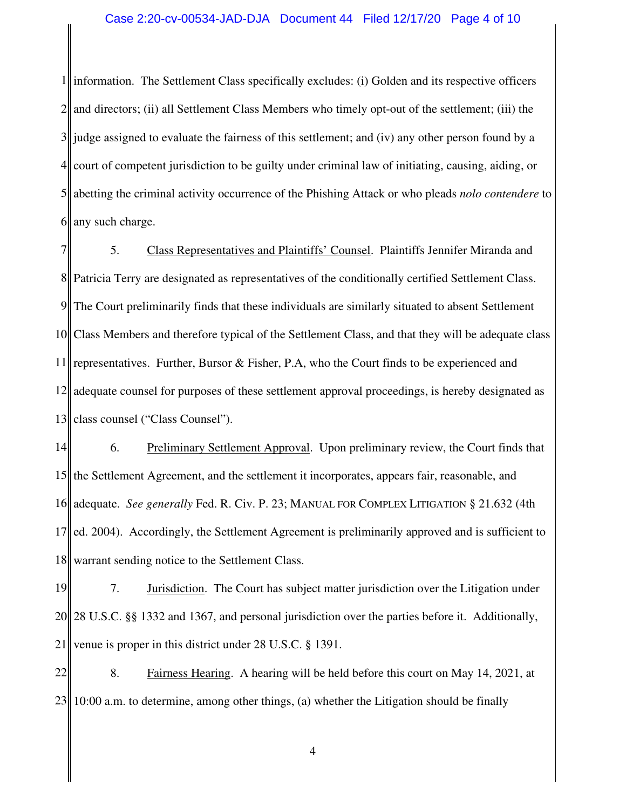1 2 3 4 5 6 information. The Settlement Class specifically excludes: (i) Golden and its respective officers and directors; (ii) all Settlement Class Members who timely opt-out of the settlement; (iii) the judge assigned to evaluate the fairness of this settlement; and (iv) any other person found by a court of competent jurisdiction to be guilty under criminal law of initiating, causing, aiding, or abetting the criminal activity occurrence of the Phishing Attack or who pleads *nolo contendere* to any such charge.

7 8 9 10 11 12 13 5. Class Representatives and Plaintiffs' Counsel. Plaintiffs Jennifer Miranda and Patricia Terry are designated as representatives of the conditionally certified Settlement Class. The Court preliminarily finds that these individuals are similarly situated to absent Settlement Class Members and therefore typical of the Settlement Class, and that they will be adequate class representatives. Further, Bursor & Fisher, P.A, who the Court finds to be experienced and adequate counsel for purposes of these settlement approval proceedings, is hereby designated as class counsel ("Class Counsel").

14 15 16 17 18 6. Preliminary Settlement Approval. Upon preliminary review, the Court finds that the Settlement Agreement, and the settlement it incorporates, appears fair, reasonable, and adequate. *See generally* Fed. R. Civ. P. 23; MANUAL FOR COMPLEX LITIGATION § 21.632 (4th ed. 2004). Accordingly, the Settlement Agreement is preliminarily approved and is sufficient to warrant sending notice to the Settlement Class.

19 20 21 7. Jurisdiction. The Court has subject matter jurisdiction over the Litigation under 28 U.S.C. §§ 1332 and 1367, and personal jurisdiction over the parties before it. Additionally, venue is proper in this district under 28 U.S.C. § 1391.

22 23 8. Fairness Hearing. A hearing will be held before this court on May 14, 2021, at 10:00 a.m. to determine, among other things, (a) whether the Litigation should be finally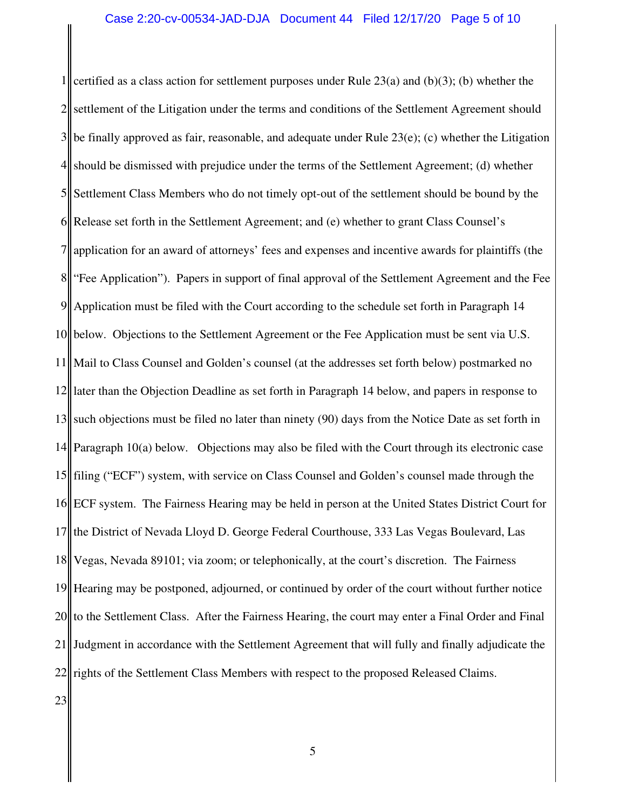1 2 3 4 5 6 7 8 9 10 11 12 13 14 15 16 17 18 19 20 21 22 certified as a class action for settlement purposes under Rule  $23(a)$  and  $(b)(3)$ ; (b) whether the settlement of the Litigation under the terms and conditions of the Settlement Agreement should be finally approved as fair, reasonable, and adequate under Rule  $23(e)$ ; (c) whether the Litigation should be dismissed with prejudice under the terms of the Settlement Agreement; (d) whether Settlement Class Members who do not timely opt-out of the settlement should be bound by the Release set forth in the Settlement Agreement; and (e) whether to grant Class Counsel's application for an award of attorneys' fees and expenses and incentive awards for plaintiffs (the "Fee Application"). Papers in support of final approval of the Settlement Agreement and the Fee Application must be filed with the Court according to the schedule set forth in Paragraph 14 below. Objections to the Settlement Agreement or the Fee Application must be sent via U.S. Mail to Class Counsel and Golden's counsel (at the addresses set forth below) postmarked no later than the Objection Deadline as set forth in Paragraph 14 below, and papers in response to such objections must be filed no later than ninety (90) days from the Notice Date as set forth in Paragraph 10(a) below. Objections may also be filed with the Court through its electronic case filing ("ECF") system, with service on Class Counsel and Golden's counsel made through the ECF system. The Fairness Hearing may be held in person at the United States District Court for the District of Nevada Lloyd D. George Federal Courthouse, 333 Las Vegas Boulevard, Las Vegas, Nevada 89101; via zoom; or telephonically, at the court's discretion. The Fairness Hearing may be postponed, adjourned, or continued by order of the court without further notice to the Settlement Class. After the Fairness Hearing, the court may enter a Final Order and Final Judgment in accordance with the Settlement Agreement that will fully and finally adjudicate the rights of the Settlement Class Members with respect to the proposed Released Claims.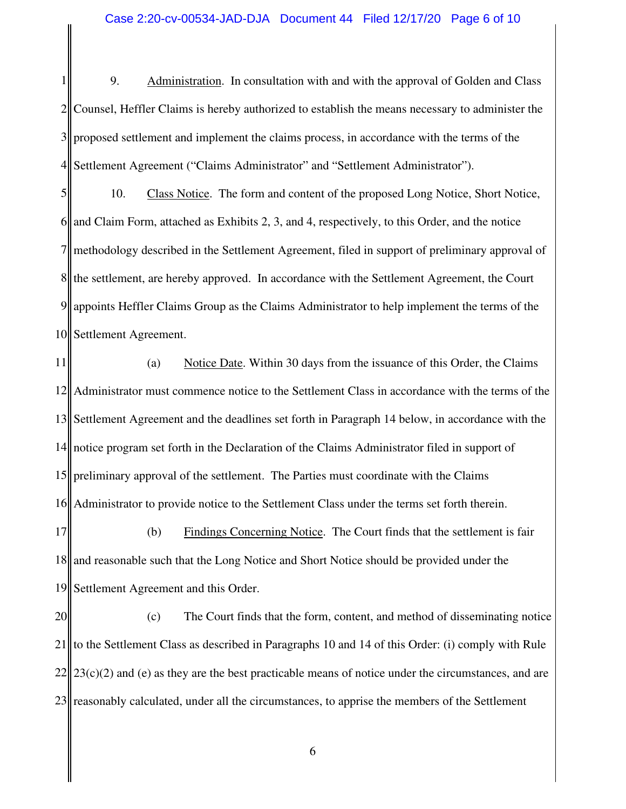1 2 3 4 9. Administration. In consultation with and with the approval of Golden and Class Counsel, Heffler Claims is hereby authorized to establish the means necessary to administer the proposed settlement and implement the claims process, in accordance with the terms of the Settlement Agreement ("Claims Administrator" and "Settlement Administrator").

5 6 7  $8<sub>II</sub>$ 9 10 10. Class Notice. The form and content of the proposed Long Notice, Short Notice, and Claim Form, attached as Exhibits 2, 3, and 4, respectively, to this Order, and the notice methodology described in the Settlement Agreement, filed in support of preliminary approval of the settlement, are hereby approved. In accordance with the Settlement Agreement, the Court appoints Heffler Claims Group as the Claims Administrator to help implement the terms of the Settlement Agreement.

11 12 13 14 15 16 (a) Notice Date. Within 30 days from the issuance of this Order, the Claims Administrator must commence notice to the Settlement Class in accordance with the terms of the Settlement Agreement and the deadlines set forth in Paragraph 14 below, in accordance with the notice program set forth in the Declaration of the Claims Administrator filed in support of preliminary approval of the settlement. The Parties must coordinate with the Claims Administrator to provide notice to the Settlement Class under the terms set forth therein.

17 18 19 (b) Findings Concerning Notice. The Court finds that the settlement is fair and reasonable such that the Long Notice and Short Notice should be provided under the Settlement Agreement and this Order.

20 21  $22$ 23 (c) The Court finds that the form, content, and method of disseminating notice to the Settlement Class as described in Paragraphs 10 and 14 of this Order: (i) comply with Rule  $23(c)(2)$  and (e) as they are the best practicable means of notice under the circumstances, and are reasonably calculated, under all the circumstances, to apprise the members of the Settlement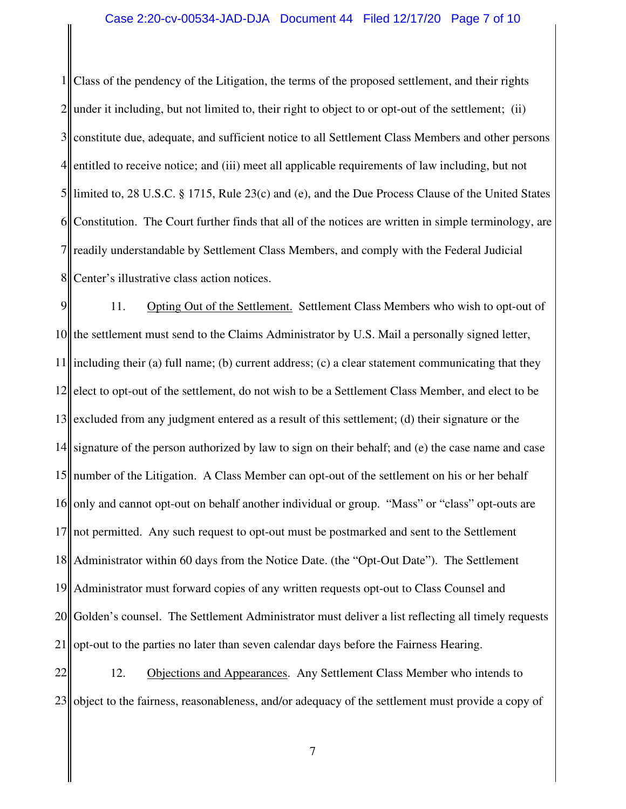#### Case 2:20-cv-00534-JAD-DJA Document 44 Filed 12/17/20 Page 7 of 10

1 2 3 4 5 6 7 8 Class of the pendency of the Litigation, the terms of the proposed settlement, and their rights under it including, but not limited to, their right to object to or opt-out of the settlement; (ii) constitute due, adequate, and sufficient notice to all Settlement Class Members and other persons entitled to receive notice; and (iii) meet all applicable requirements of law including, but not limited to, 28 U.S.C. § 1715, Rule 23(c) and (e), and the Due Process Clause of the United States Constitution. The Court further finds that all of the notices are written in simple terminology, are readily understandable by Settlement Class Members, and comply with the Federal Judicial Center's illustrative class action notices.

9 10 11 12 13 14 15 16 17 18 19 20 21 11. Opting Out of the Settlement. Settlement Class Members who wish to opt-out of the settlement must send to the Claims Administrator by U.S. Mail a personally signed letter, including their (a) full name; (b) current address; (c) a clear statement communicating that they elect to opt-out of the settlement, do not wish to be a Settlement Class Member, and elect to be excluded from any judgment entered as a result of this settlement; (d) their signature or the signature of the person authorized by law to sign on their behalf; and (e) the case name and case number of the Litigation. A Class Member can opt-out of the settlement on his or her behalf only and cannot opt-out on behalf another individual or group. "Mass" or "class" opt-outs are not permitted. Any such request to opt-out must be postmarked and sent to the Settlement Administrator within 60 days from the Notice Date. (the "Opt-Out Date"). The Settlement Administrator must forward copies of any written requests opt-out to Class Counsel and Golden's counsel. The Settlement Administrator must deliver a list reflecting all timely requests opt-out to the parties no later than seven calendar days before the Fairness Hearing.

22 23 12. Objections and Appearances. Any Settlement Class Member who intends to object to the fairness, reasonableness, and/or adequacy of the settlement must provide a copy of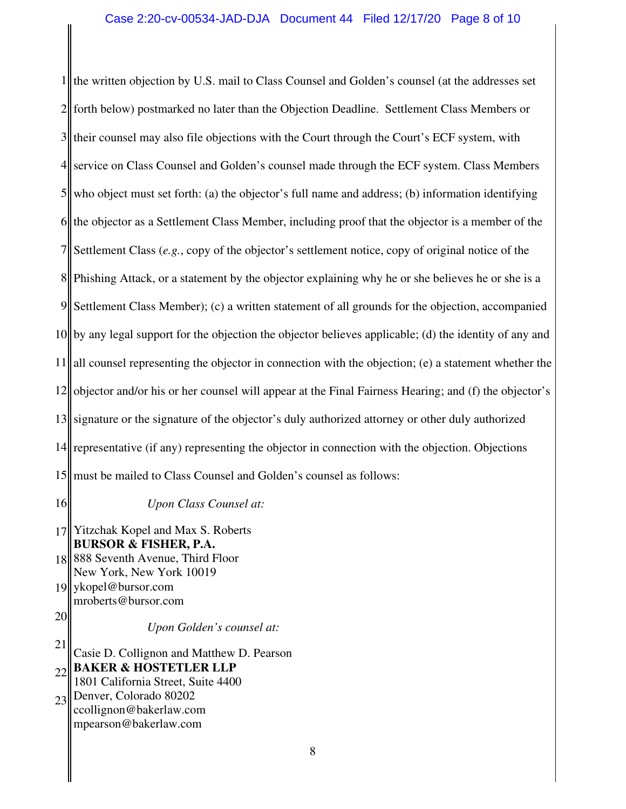1 2  $3$  their counsel may also file objections with the Court through the Court's ECF system, with 4 5 6 7 8||Phishing Attack, or a statement by the objector explaining why he or she believes he or she is a 9 10 by any legal support for the objection the objector believes applicable; (d) the identity of any and 11 12 objector and/or his or her counsel will appear at the Final Fairness Hearing; and (f) the objector's 13 signature or the signature of the objector's duly authorized attorney or other duly authorized 14 representative (if any) representing the objector in connection with the objection. Objections 15 must be mailed to Class Counsel and Golden's counsel as follows: the written objection by U.S. mail to Class Counsel and Golden's counsel (at the addresses set forth below) postmarked no later than the Objection Deadline. Settlement Class Members or service on Class Counsel and Golden's counsel made through the ECF system. Class Members who object must set forth: (a) the objector's full name and address; (b) information identifying the objector as a Settlement Class Member, including proof that the objector is a member of the Settlement Class (*e.g.*, copy of the objector's settlement notice, copy of original notice of the Settlement Class Member); (c) a written statement of all grounds for the objection, accompanied all counsel representing the objector in connection with the objection; (e) a statement whether the

16

*Upon Class Counsel at:*

17 Yitzchak Kopel and Max S. Roberts **BURSOR & FISHER, P.A.**

18 888 Seventh Avenue, Third Floor 19 New York, New York 10019 ykopel@bursor.com

mroberts@bursor.com

20

*Upon Golden's counsel at:* 

21 22 23 Casie D. Collignon and Matthew D. Pearson **BAKER & HOSTETLER LLP** 1801 California Street, Suite 4400 Denver, Colorado 80202 ccollignon@bakerlaw.com

mpearson@bakerlaw.com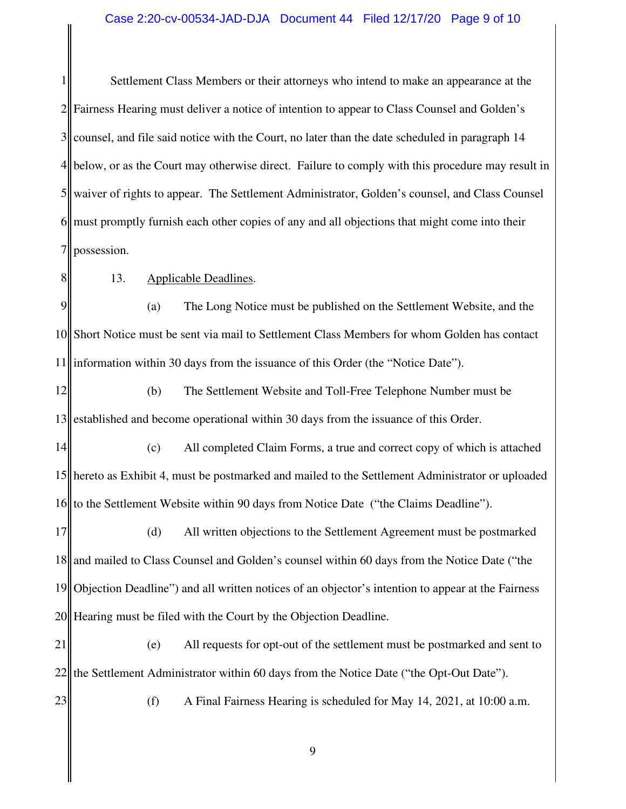### Case 2:20-cv-00534-JAD-DJA Document 44 Filed 12/17/20 Page 9 of 10

1 2 3 4 5 6 7 Settlement Class Members or their attorneys who intend to make an appearance at the Fairness Hearing must deliver a notice of intention to appear to Class Counsel and Golden's counsel, and file said notice with the Court, no later than the date scheduled in paragraph 14 below, or as the Court may otherwise direct. Failure to comply with this procedure may result in waiver of rights to appear. The Settlement Administrator, Golden's counsel, and Class Counsel must promptly furnish each other copies of any and all objections that might come into their possession.

8

23

## 13. Applicable Deadlines.

9 10 11 (a) The Long Notice must be published on the Settlement Website, and the Short Notice must be sent via mail to Settlement Class Members for whom Golden has contact information within 30 days from the issuance of this Order (the "Notice Date").

12 13 (b) The Settlement Website and Toll-Free Telephone Number must be established and become operational within 30 days from the issuance of this Order.

14 15 hereto as Exhibit 4, must be postmarked and mailed to the Settlement Administrator or uploaded 16 (c) All completed Claim Forms, a true and correct copy of which is attached to the Settlement Website within 90 days from Notice Date ("the Claims Deadline").

17 18 19 20 (d) All written objections to the Settlement Agreement must be postmarked and mailed to Class Counsel and Golden's counsel within 60 days from the Notice Date ("the Objection Deadline") and all written notices of an objector's intention to appear at the Fairness Hearing must be filed with the Court by the Objection Deadline.

21 22 (e) All requests for opt-out of the settlement must be postmarked and sent to the Settlement Administrator within 60 days from the Notice Date ("the Opt-Out Date").

(f) A Final Fairness Hearing is scheduled for May 14, 2021, at 10:00 a.m.